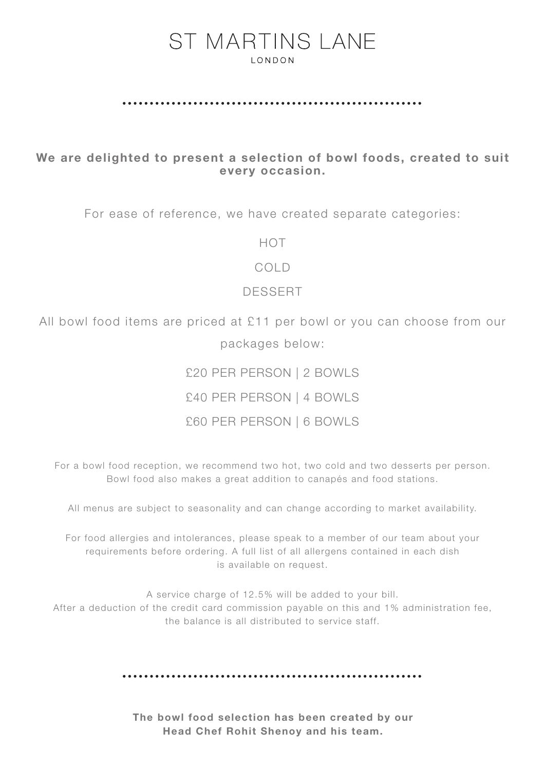## **ST MARTINS LANE LONDON**

#### 

### We are delighted to present a selection of bowl foods, created to suit every occasion.

For ease of reference, we have created separate categories:

HOT

COLD

#### DESSERT

All bowl food items are priced at £11 per bowl or you can choose from our packages below:

£20 PER PERSON | 2 BOWLS

£40 PER PERSON | 4 BOWLS

#### £60 PER PERSON | 6 BOWLS

For a bowl food reception, we recommend two hot, two cold and two desserts per person. Bowl food also makes a great addition to canapés and food stations.

All menus are subject to seasonality and can change according to market availability.

For food allergies and intolerances, please speak to a member of our team about your requirements before ordering. A full list of all allergens contained in each dish is available on request.

A service charge of 12.5% will be added to your bill. After a deduction of the credit card commission payable on this and 1% administration fee, the balance is all distributed to service staff.

The bowl food selection has been created by our Head Chef Rohit Shenoy and his team.